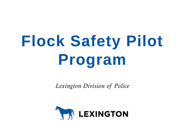# **Flock Safety Pilot Program**

*Lexington Division of Police*

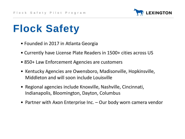

- Founded in 2017 in Atlanta Georgia
- Currently have License Plate Readers in 1500+ cities across US
- 850+ Law Enforcement Agencies are customers
- Kentucky Agencies are Owensboro, Madisonville, Hopkinsville, Middleton and will soon include Louisville
- Regional agencies include Knoxville, Nashville, Cincinnati, Indianapolis, Bloomington, Dayton, Columbus
- Partner with Axon Enterprise Inc. Our body worn camera vendor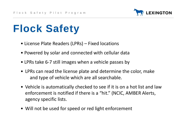

- License Plate Readers (LPRs) Fixed locations
- Powered by solar and connected with cellular data
- LPRs take 6-7 still images when a vehicle passes by
- LPRs can read the license plate and determine the color, make and type of vehicle which are all searchable.
- Vehicle is automatically checked to see if it is on a hot list and law enforcement is notified if there is a "hit." (NCIC, AMBER Alerts, agency specific lists.
- Will not be used for speed or red light enforcement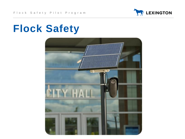

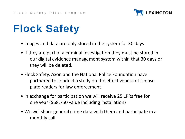

- Images and data are only stored in the system for 30 days
- If they are part of a criminal investigation they must be stored in our digital evidence management system within that 30 days or they will be deleted.
- Flock Safety, Axon and the National Police Foundation have partnered to conduct a study on the effectiveness of license plate readers for law enforcement
- In exchange for participation we will receive 25 LPRs free for one year (\$68,750 value including installation)
- We will share general crime data with them and participate in a monthly call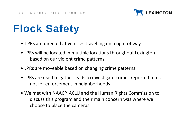

- LPRs are directed at vehicles travelling on a right of way
- LPRs will be located in multiple locations throughout Lexington based on our violent crime patterns
- LPRs are moveable based on changing crime patterns
- LPRs are used to gather leads to investigate crimes reported to us, not for enforcement in neighborhoods
- We met with NAACP, ACLU and the Human Rights Commission to discuss this program and their main concern was where we choose to place the cameras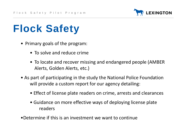

- Primary goals of the program:
	- To solve and reduce crime
	- To locate and recover missing and endangered people (AMBER Alerts, Golden Alerts, etc.)
- As part of participating in the study the National Police Foundation will provide a custom report for our agency detailing:
	- Effect of license plate readers on crime, arrests and clearances
	- Guidance on more effective ways of deploying license plate readers
- •Determine if this is an investment we want to continue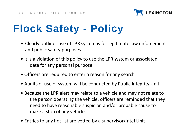

# **Flock Safety - Policy**

- Clearly outlines use of LPR system is for legitimate law enforcement and public safety purposes
- It is a violation of this policy to use the LPR system or associated data for any personal purpose.
- Officers are required to enter a reason for any search
- Audits of use of system will be conducted by Public Integrity Unit
- Because the LPR alert may relate to a vehicle and may not relate to the person operating the vehicle, officers are reminded that they need to have reasonable suspicion and/or probable cause to make a stop of any vehicle.
- Entries to any hot list are vetted by a supervisor/Intel Unit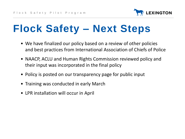

# **Flock Safety – Next Steps**

- We have finalized our policy based on a review of other policies and best practices from International Association of Chiefs of Police
- NAACP, ACLU and Human Rights Commission reviewed policy and their input was incorporated in the final policy
- Policy is posted on our transparency page for public input
- Training was conducted in early March
- LPR installation will occur in April